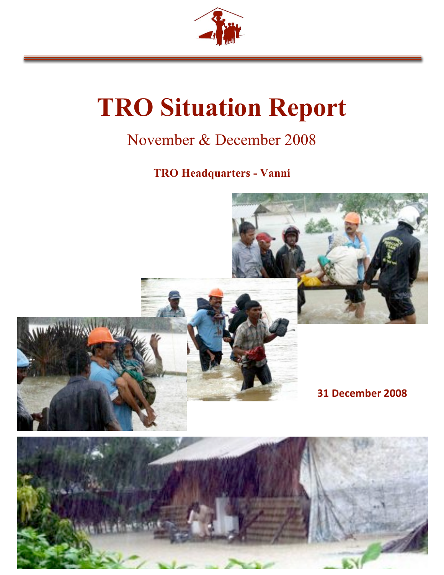

# **TRO Situation Report**

# November & December 2008

# **TRO Headquarters - Vanni**

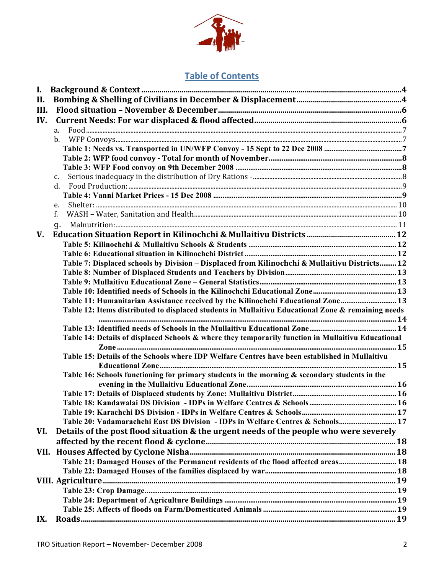

## **Table of Contents**

| Ι.   |                                                                                                    |  |
|------|----------------------------------------------------------------------------------------------------|--|
| II.  |                                                                                                    |  |
| III. |                                                                                                    |  |
| IV.  |                                                                                                    |  |
|      | a.                                                                                                 |  |
|      | $\mathbf{b}$ .                                                                                     |  |
|      |                                                                                                    |  |
|      |                                                                                                    |  |
|      |                                                                                                    |  |
|      | $\mathbf{C}$ .                                                                                     |  |
|      | d.                                                                                                 |  |
|      |                                                                                                    |  |
|      | e.                                                                                                 |  |
|      | f.                                                                                                 |  |
|      | g.                                                                                                 |  |
| V.   |                                                                                                    |  |
|      |                                                                                                    |  |
|      |                                                                                                    |  |
|      | Table 7: Displaced schools by Division - Displaced from Kilinochchi & Mullaitivu Districts 12      |  |
|      |                                                                                                    |  |
|      |                                                                                                    |  |
|      |                                                                                                    |  |
|      | Table 11: Humanitarian Assistance received by the Kilinochchi Educational Zone 13                  |  |
|      | Table 12: Items distributed to displaced students in Mullaitivu Educational Zone & remaining needs |  |
|      |                                                                                                    |  |
|      |                                                                                                    |  |
|      | Table 14: Details of displaced Schools & where they temporarily function in Mullaitivu Educational |  |
|      |                                                                                                    |  |
|      | Table 15: Details of the Schools where IDP Welfare Centres have been established in Mullaitivu     |  |
|      |                                                                                                    |  |
|      | Table 16: Schools functioning for primary students in the morning & secondary students in the      |  |
|      |                                                                                                    |  |
|      |                                                                                                    |  |
|      |                                                                                                    |  |
|      | Table 20: Vadamarachchi East DS Division - IDPs in Welfare Centres & Schools 17                    |  |
|      |                                                                                                    |  |
| VI.  | Details of the post flood situation & the urgent needs of the people who were severely             |  |
|      |                                                                                                    |  |
|      |                                                                                                    |  |
|      | Table 21: Damaged Houses of the Permanent residents of the flood affected areas 18                 |  |
|      |                                                                                                    |  |
|      |                                                                                                    |  |
|      |                                                                                                    |  |
|      |                                                                                                    |  |
|      |                                                                                                    |  |
| IX.  |                                                                                                    |  |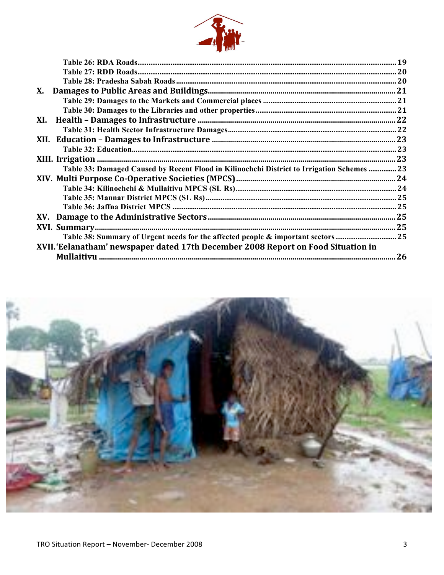

| X.                                                                                         |     |
|--------------------------------------------------------------------------------------------|-----|
|                                                                                            |     |
|                                                                                            |     |
| XI.                                                                                        |     |
|                                                                                            |     |
|                                                                                            |     |
|                                                                                            |     |
|                                                                                            |     |
| Table 33: Damaged Caused by Recent Flood in Kilinochchi District to Irrigation Schemes  23 |     |
|                                                                                            |     |
|                                                                                            |     |
|                                                                                            |     |
|                                                                                            |     |
|                                                                                            |     |
|                                                                                            |     |
| Table 38: Summary of Urgent needs for the affected people & important sectors25            |     |
| XVII. 'Eelanatham' newspaper dated 17th December 2008 Report on Food Situation in          |     |
|                                                                                            | .26 |
|                                                                                            |     |

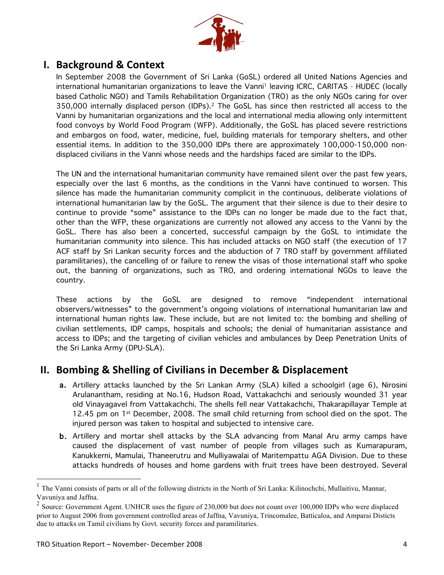

## **6.** Background & Context

In September 2008 the Government of Sri Lanka (GoSL) ordered all United Nations Agencies and international humanitarian organizations to leave the Vanni<sup>1</sup> leaving ICRC, CARITAS - HUDEC (locally based Catholic NGO) and Tamils Rehabilitation Organization (TRO) as the only NGOs caring for over 350,000 internally displaced person (IDPs). 2 The GoSL has since then restricted all access to the Vanni by humanitarian organizations and the local and international media allowing only intermittent food convoys by World Food Program (WFP). Additionally, the GoSL has placed severe restrictions and embargos on food, water, medicine, fuel, building materials for temporary shelters, and other essential items. In addition to the 350,000 IDPs there are approximately 100,000-150,000 nondisplaced civilians in the Vanni whose needs and the hardships faced are similar to the IDPs.

The UN and the international humanitarian community have remained silent over the past few years, especially over the last 6 months, as the conditions in the Vanni have continued to worsen. This silence has made the humanitarian community complicit in the continuous, deliberate violations of international humanitarian law by the GoSL. The argument that their silence is due to their desire to continue to provide "some" assistance to the IDPs can no longer be made due to the fact that, other than the WFP, these organizations are currently not allowed any access to the Vanni by the GoSL. There has also been a concerted, successful campaign by the GoSL to intimidate the humanitarian community into silence. This has included attacks on NGO staff (the execution of 17 ACF staff by Sri Lankan security forces and the abduction of 7 TRO staff by government affiliated paramilitaries), the cancelling of or failure to renew the visas of those international staff who spoke out, the banning of organizations, such as TRO, and ordering international NGOs to leave the country.

These actions by the GoSL are designed to remove "independent international observers/witnesses" to the government's ongoing violations of international humanitarian law and international human rights law. These include, but are not limited to: the bombing and shelling of civilian settlements, IDP camps, hospitals and schools; the denial of humanitarian assistance and access to IDPs; and the targeting of civilian vehicles and ambulances by Deep Penetration Units of the Sri Lanka Army (DPU-SLA).

## **11. Bombing & Shelling of Civilians in December & Displacement**

- a. Artillery attacks launched by the Sri Lankan Army (SLA) killed a schoolgirl (age 6), Nirosini Arulanantham, residing at No.16, Hudson Road, Vattakachchi and seriously wounded 31 year old Vinayagavel from Vattakachchi. The shells fell near Vattakachchi, Thakarapillayar Temple at 12.45 pm on 1<sup>st</sup> December, 2008. The small child returning from school died on the spot. The injured person was taken to hospital and subjected to intensive care.
- b. Artillery and mortar shell attacks by the SLA advancing from Manal Aru army camps have caused the displacement of vast number of people from villages such as Kumarapuram, Kanukkerni, Mamulai, Thaneerutru and Mulliyawalai of Maritempattu AGA Division. Due to these attacks hundreds of houses and home gardens with fruit trees have been destroyed. Several

 <sup>1</sup> The Vanni consists of parts or all of the following districts in the North of Sri Lanka: Kilinochchi, Mullaitivu, Mannar, Vavuniya and Jaffna.

<sup>&</sup>lt;sup>2</sup> Source: Government Agent. UNHCR uses the figure of 230,000 but does not count over 100,000 IDPs who were displaced prior to August 2006 from government controlled areas of Jaffna, Vavuniya, Trincomalee, Batticaloa, and Amparai Disticts due to attacks on Tamil civilians by Govt. security forces and paramilitaries.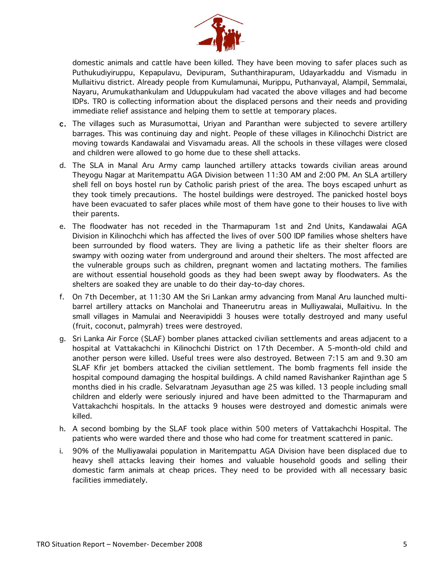

domestic animals and cattle have been killed. They have been moving to safer places such as Puthukudiyiruppu, Kepapulavu, Devipuram, Suthanthirapuram, Udayarkaddu and Vismadu in Mullaitivu district. Already people from Kumulamunai, Murippu, Puthanvayal, Alampil, Semmalai, Nayaru, Arumukathankulam and Uduppukulam had vacated the above villages and had become IDPs. TRO is collecting information about the displaced persons and their needs and providing immediate relief assistance and helping them to settle at temporary places.

- c. The villages such as Murasumottai, Uriyan and Paranthan were subjected to severe artillery barrages. This was continuing day and night. People of these villages in Kilinochchi District are moving towards Kandawalai and Visvamadu areas. All the schools in these villages were closed and children were allowed to go home due to these shell attacks.
- d. The SLA in Manal Aru Army camp launched artillery attacks towards civilian areas around Theyogu Nagar at Maritempattu AGA Division between 11:30 AM and 2:00 PM. An SLA artillery shell fell on boys hostel run by Catholic parish priest of the area. The boys escaped unhurt as they took timely precautions. The hostel buildings were destroyed. The panicked hostel boys have been evacuated to safer places while most of them have gone to their houses to live with their parents.
- e. The floodwater has not receded in the Tharmapuram 1st and 2nd Units, Kandawalai AGA Division in Kilinochchi which has affected the lives of over 500 IDP families whose shelters have been surrounded by flood waters. They are living a pathetic life as their shelter floors are swampy with oozing water from underground and around their shelters. The most affected are the vulnerable groups such as children, pregnant women and lactating mothers. The families are without essential household goods as they had been swept away by floodwaters. As the shelters are soaked they are unable to do their day-to-day chores.
- f. On 7th December, at 11:30 AM the Sri Lankan army advancing from Manal Aru launched multibarrel artillery attacks on Mancholai and Thaneerutru areas in Mulliyawalai, Mullaitivu. In the small villages in Mamulai and Neeravipiddi 3 houses were totally destroyed and many useful (fruit, coconut, palmyrah) trees were destroyed.
- g. Sri Lanka Air Force (SLAF) bomber planes attacked civilian settlements and areas adjacent to a hospital at Vattakachchi in Kilinochchi District on 17th December. A 5-month-old child and another person were killed. Useful trees were also destroyed. Between 7:15 am and 9.30 am SLAF Kfir jet bombers attacked the civilian settlement. The bomb fragments fell inside the hospital compound damaging the hospital buildings. A child named Ravishanker Rajinthan age 5 months died in his cradle. Selvaratnam Jeyasuthan age 25 was killed. 13 people including small children and elderly were seriously injured and have been admitted to the Tharmapuram and Vattakachchi hospitals. In the attacks 9 houses were destroyed and domestic animals were killed.
- h. A second bombing by the SLAF took place within 500 meters of Vattakachchi Hospital. The patients who were warded there and those who had come for treatment scattered in panic.
- i. 90% of the Mulliyawalai population in Maritempattu AGA Division have been displaced due to heavy shell attacks leaving their homes and valuable household goods and selling their domestic farm animals at cheap prices. They need to be provided with all necessary basic facilities immediately.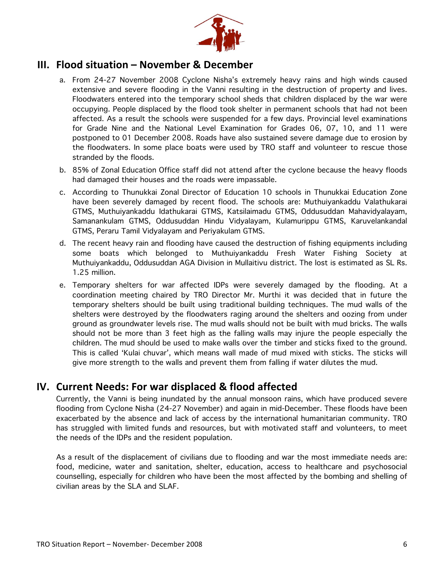

### **111. Flood situation – November & December**

- a. From 24-27 November 2008 Cyclone Nisha's extremely heavy rains and high winds caused extensive and severe flooding in the Vanni resulting in the destruction of property and lives. Floodwaters entered into the temporary school sheds that children displaced by the war were occupying. People displaced by the flood took shelter in permanent schools that had not been affected. As a result the schools were suspended for a few days. Provincial level examinations for Grade Nine and the National Level Examination for Grades 06, 07, 10, and 11 were postponed to 01 December 2008. Roads have also sustained severe damage due to erosion by the floodwaters. In some place boats were used by TRO staff and volunteer to rescue those stranded by the floods.
- b. 85% of Zonal Education Office staff did not attend after the cyclone because the heavy floods had damaged their houses and the roads were impassable.
- c. According to Thunukkai Zonal Director of Education 10 schools in Thunukkai Education Zone have been severely damaged by recent flood. The schools are: Muthuiyankaddu Valathukarai GTMS, Muthuiyankaddu Idathukarai GTMS, Katsilaimadu GTMS, Oddusuddan Mahavidyalayam, Samanankulam GTMS, Oddusuddan Hindu Vidyalayam, Kulamurippu GTMS, Karuvelankandal GTMS, Peraru Tamil Vidyalayam and Periyakulam GTMS.
- d. The recent heavy rain and flooding have caused the destruction of fishing equipments including some boats which belonged to Muthuiyankaddu Fresh Water Fishing Society at Muthuiyankaddu, Oddusuddan AGA Division in Mullaitivu district. The lost is estimated as SL Rs. 1.25 million.
- e. Temporary shelters for war affected IDPs were severely damaged by the flooding. At a coordination meeting chaired by TRO Director Mr. Murthi it was decided that in future the temporary shelters should be built using traditional building techniques. The mud walls of the shelters were destroyed by the floodwaters raging around the shelters and oozing from under ground as groundwater levels rise. The mud walls should not be built with mud bricks. The walls should not be more than 3 feet high as the falling walls may injure the people especially the children. The mud should be used to make walls over the timber and sticks fixed to the ground. This is called 'Kulai chuvar', which means wall made of mud mixed with sticks. The sticks will give more strength to the walls and prevent them from falling if water dilutes the mud.

## **1V. Current Needs: For war displaced & flood affected**

Currently, the Vanni is being inundated by the annual monsoon rains, which have produced severe flooding from Cyclone Nisha (24-27 November) and again in mid-December. These floods have been exacerbated by the absence and lack of access by the international humanitarian community. TRO has struggled with limited funds and resources, but with motivated staff and volunteers, to meet the needs of the IDPs and the resident population.

As a result of the displacement of civilians due to flooding and war the most immediate needs are: food, medicine, water and sanitation, shelter, education, access to healthcare and psychosocial counselling, especially for children who have been the most affected by the bombing and shelling of civilian areas by the SLA and SLAF.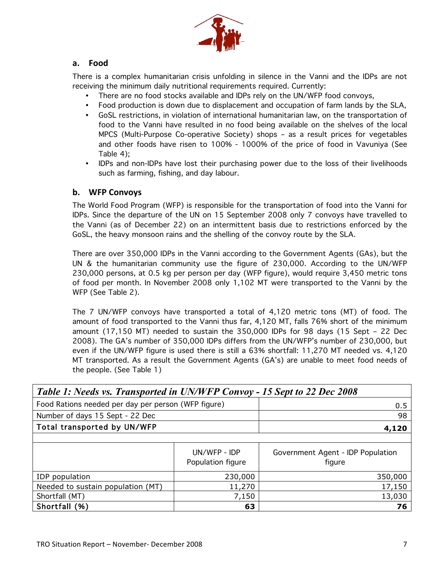

#### **.7 D00<**

There is a complex humanitarian crisis unfolding in silence in the Vanni and the IDPs are not receiving the minimum daily nutritional requirements required. Currently:

- There are no food stocks available and IDPs rely on the UN/WFP food convoys,
- Food production is down due to displacement and occupation of farm lands by the SLA,
- GoSL restrictions, in violation of international humanitarian law, on the transportation of food to the Vanni have resulted in no food being available on the shelves of the local MPCS (Multi-Purpose Co-operative Society) shops – as a result prices for vegetables and other foods have risen to 100% - 1000% of the price of food in Vavuniya (See Table 4);
- IDPs and non-IDPs have lost their purchasing power due to the loss of their livelihoods such as farming, fishing, and day labour.

#### **b.** WFP Convoys

The World Food Program (WFP) is responsible for the transportation of food into the Vanni for IDPs. Since the departure of the UN on 15 September 2008 only 7 convoys have travelled to the Vanni (as of December 22) on an intermittent basis due to restrictions enforced by the GoSL, the heavy monsoon rains and the shelling of the convoy route by the SLA.

There are over 350,000 IDPs in the Vanni according to the Government Agents (GAs), but the UN & the humanitarian community use the figure of 230,000. According to the UN/WFP 230,000 persons, at 0.5 kg per person per day (WFP figure), would require 3,450 metric tons of food per month. In November 2008 only 1,102 MT were transported to the Vanni by the WFP (See Table 2).

The 7 UN/WFP convoys have transported a total of 4,120 metric tons (MT) of food. The amount of food transported to the Vanni thus far, 4,120 MT, falls 76% short of the minimum amount (17,150 MT) needed to sustain the 350,000 IDPs for 98 days (15 Sept – 22 Dec 2008). The GA's number of 350,000 IDPs differs from the UN/WFP's number of 230,000, but even if the UN/WFP figure is used there is still a 63% shortfall: 11,270 MT needed vs. 4,120 MT transported. As a result the Government Agents (GA's) are unable to meet food needs of the people. (See Table 1)

| Table 1: Needs vs. Transported in UN/WFP Convoy - 15 Sept to 22 Dec 2008 |                                   |                                             |  |  |  |  |
|--------------------------------------------------------------------------|-----------------------------------|---------------------------------------------|--|--|--|--|
| Food Rations needed per day per person (WFP figure)                      | 0.5                               |                                             |  |  |  |  |
| Number of days 15 Sept - 22 Dec                                          |                                   | 98                                          |  |  |  |  |
| Total transported by UN/WFP                                              | 4,120                             |                                             |  |  |  |  |
|                                                                          |                                   |                                             |  |  |  |  |
|                                                                          | UN/WFP - IDP<br>Population figure | Government Agent - IDP Population<br>figure |  |  |  |  |
| IDP population                                                           | 230,000                           | 350,000                                     |  |  |  |  |
| Needed to sustain population (MT)                                        | 11,270                            | 17,150                                      |  |  |  |  |
| Shortfall (MT)                                                           | 7,150                             | 13,030                                      |  |  |  |  |
| Shortfall (%)                                                            | 76                                |                                             |  |  |  |  |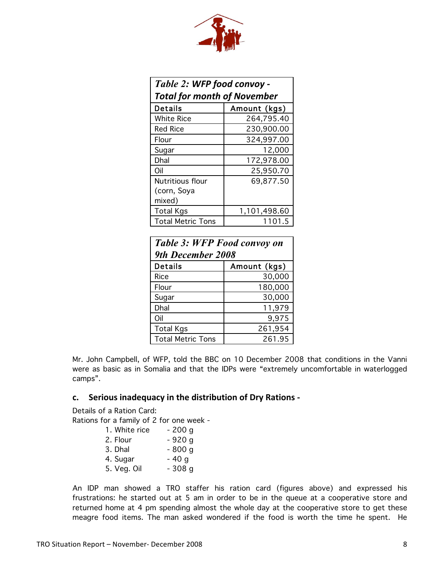| الس |
|-----|

| Table 2: WFP food convoy -         |              |  |  |  |  |
|------------------------------------|--------------|--|--|--|--|
| <b>Total for month of November</b> |              |  |  |  |  |
| Amount (kgs)<br>Details            |              |  |  |  |  |
| <b>White Rice</b>                  | 264,795.40   |  |  |  |  |
| <b>Red Rice</b>                    | 230,900.00   |  |  |  |  |
| Flour                              | 324,997.00   |  |  |  |  |
| Sugar                              | 12,000       |  |  |  |  |
| Dhal                               | 172,978.00   |  |  |  |  |
| Oil                                | 25,950.70    |  |  |  |  |
| <b>Nutritious flour</b>            | 69,877.50    |  |  |  |  |
| (corn, Soya                        |              |  |  |  |  |
| mixed)                             |              |  |  |  |  |
| <b>Total Kgs</b>                   | 1,101,498.60 |  |  |  |  |
| <b>Total Metric Tons</b>           | 1101.5       |  |  |  |  |

| <b>Table 3: WFP Food convoy on</b><br>9th December 2008 |              |  |  |
|---------------------------------------------------------|--------------|--|--|
| <b>Details</b>                                          | Amount (kgs) |  |  |
| Rice                                                    | 30,000       |  |  |
| Flour                                                   | 180,000      |  |  |
| Sugar                                                   | 30,000       |  |  |
| Dhal                                                    | 11,979       |  |  |
| Oil                                                     | 9,975        |  |  |
| <b>Total Kgs</b>                                        | 261,954      |  |  |
| <b>Total Metric Tons</b>                                | 261.95       |  |  |

Mr. John Campbell, of WFP, told the BBC on 10 December 2008 that conditions in the Vanni were as basic as in Somalia and that the IDPs were "extremely uncomfortable in waterlogged camps".

#### **c.** Serious inadequacy in the distribution of Dry Rations -

Details of a Ration Card:

Rations for a family of 2 for one week -

| 1. White rice | - 200 g |
|---------------|---------|
| 2. Flour      | $-920g$ |
| 3. Dhal       | $-800g$ |
| 4. Sugar      | $-40g$  |
| 5. Veg. Oil   | $-308g$ |

An IDP man showed a TRO staffer his ration card (figures above) and expressed his frustrations: he started out at 5 am in order to be in the queue at a cooperative store and returned home at 4 pm spending almost the whole day at the cooperative store to get these meagre food items. The man asked wondered if the food is worth the time he spent. He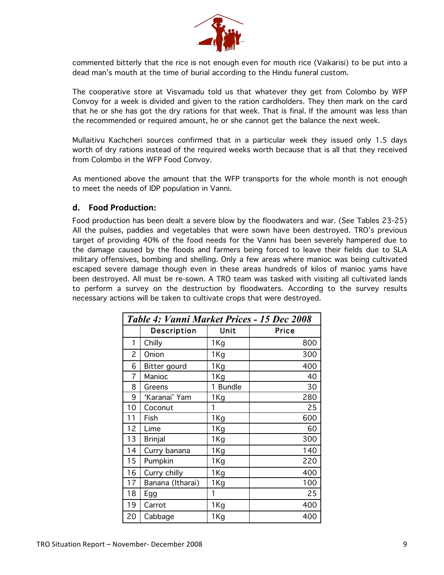

commented bitterly that the rice is not enough even for mouth rice (Vaikarisi) to be put into a dead man's mouth at the time of burial according to the Hindu funeral custom.

The cooperative store at Visvamadu told us that whatever they get from Colombo by WFP Convoy for a week is divided and given to the ration cardholders. They then mark on the card that he or she has got the dry rations for that week. That is final. If the amount was less than the recommended or required amount, he or she cannot get the balance the next week.

Mullaitivu Kachcheri sources confirmed that in a particular week they issued only 1.5 days worth of dry rations instead of the required weeks worth because that is all that they received from Colombo in the WFP Food Convoy.

As mentioned above the amount that the WFP transports for the whole month is not enough to meet the needs of IDP population in Vanni.

#### **d.** Food Production:

Food production has been dealt a severe blow by the floodwaters and war. (See Tables 23-25) All the pulses, paddies and vegetables that were sown have been destroyed. TRO's previous target of providing 40% of the food needs for the Vanni has been severely hampered due to the damage caused by the floods and farmers being forced to leave their fields due to SLA military offensives, bombing and shelling. Only a few areas where manioc was being cultivated escaped severe damage though even in these areas hundreds of kilos of manioc yams have been destroyed. All must be re-sown. A TRO team was tasked with visiting all cultivated lands to perform a survey on the destruction by floodwaters. According to the survey results necessary actions will be taken to cultivate crops that were destroyed.

| Table 4: Vanni Market Prices - 15 Dec 2008 |                    |                 |       |  |
|--------------------------------------------|--------------------|-----------------|-------|--|
|                                            | <b>Description</b> | Unit            | Price |  |
| 1                                          | Chilly             | 1Kg             | 800   |  |
| $\overline{c}$                             | Onion              | 1Kg             | 300   |  |
| 6                                          | Bitter gourd       | 1Kg             | 400   |  |
| 7                                          | Manioc             | 1Kg             | 40    |  |
| 8                                          | Greens             | 1 Bundle        | 30    |  |
| 9                                          | 'Karanai' Yam      | 1 Kg            | 280   |  |
| 10                                         | Coconut            | 1               | 25    |  |
| 11                                         | Fish               | 1Kg             | 600   |  |
| 12                                         | Lime               | 1 Kg            | 60    |  |
| 13                                         | <b>Brinjal</b>     | 1 <sub>Kg</sub> | 300   |  |
| 14                                         | Curry banana       | 1 Kg            | 140   |  |
| 15                                         | Pumpkin            | 1 Kg            | 220   |  |
| 16                                         | Curry chilly       | 1Kg             | 400   |  |
| 17                                         | Banana (Itharai)   | 1 Kg            | 100   |  |
| 18                                         | Egg                | 1               | 25    |  |
| 19                                         | Carrot             | 1 Kg            | 400   |  |
| 20                                         | Cabbage            | 1Kg             | 400   |  |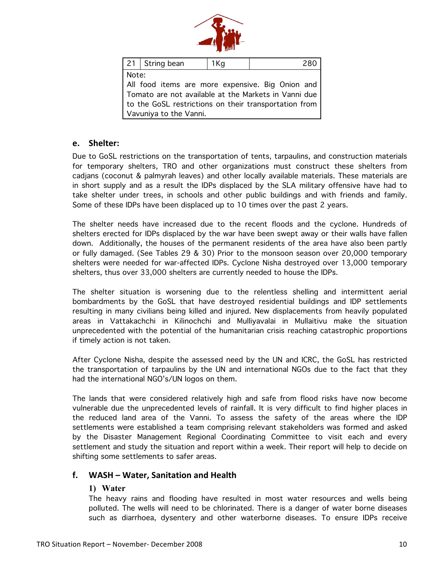

|                                                       | 21 String bean                                   | 1Kg | 280 |  |  |  |  |
|-------------------------------------------------------|--------------------------------------------------|-----|-----|--|--|--|--|
|                                                       | Note:                                            |     |     |  |  |  |  |
|                                                       | All food items are more expensive. Big Onion and |     |     |  |  |  |  |
| Tomato are not available at the Markets in Vanni due  |                                                  |     |     |  |  |  |  |
| to the GoSL restrictions on their transportation from |                                                  |     |     |  |  |  |  |
| Vavuniya to the Vanni.                                |                                                  |     |     |  |  |  |  |

#### **e.** Shelter:

Due to GoSL restrictions on the transportation of tents, tarpaulins, and construction materials for temporary shelters, TRO and other organizations must construct these shelters from cadjans (coconut & palmyrah leaves) and other locally available materials. These materials are in short supply and as a result the IDPs displaced by the SLA military offensive have had to take shelter under trees, in schools and other public buildings and with friends and family. Some of these IDPs have been displaced up to 10 times over the past 2 years.

The shelter needs have increased due to the recent floods and the cyclone. Hundreds of shelters erected for IDPs displaced by the war have been swept away or their walls have fallen down. Additionally, the houses of the permanent residents of the area have also been partly or fully damaged. (See Tables 29 & 30) Prior to the monsoon season over 20,000 temporary shelters were needed for war-affected IDPs. Cyclone Nisha destroyed over 13,000 temporary shelters, thus over 33,000 shelters are currently needed to house the IDPs.

The shelter situation is worsening due to the relentless shelling and intermittent aerial bombardments by the GoSL that have destroyed residential buildings and IDP settlements resulting in many civilians being killed and injured. New displacements from heavily populated areas in Vattakachchi in Kilinochchi and Mulliyavalai in Mullaitivu make the situation unprecedented with the potential of the humanitarian crisis reaching catastrophic proportions if timely action is not taken.

After Cyclone Nisha, despite the assessed need by the UN and ICRC, the GoSL has restricted the transportation of tarpaulins by the UN and international NGOs due to the fact that they had the international NGO's/UN logos on them.

The lands that were considered relatively high and safe from flood risks have now become vulnerable due the unprecedented levels of rainfall. It is very difficult to find higher places in the reduced land area of the Vanni. To assess the safety of the areas where the IDP settlements were established a team comprising relevant stakeholders was formed and asked by the Disaster Management Regional Coordinating Committee to visit each and every settlement and study the situation and report within a week. Their report will help to decide on shifting some settlements to safer areas.

#### **17. WASH – Water, Sanitation and Health**

#### **1) Water**

The heavy rains and flooding have resulted in most water resources and wells being polluted. The wells will need to be chlorinated. There is a danger of water borne diseases such as diarrhoea, dysentery and other waterborne diseases. To ensure IDPs receive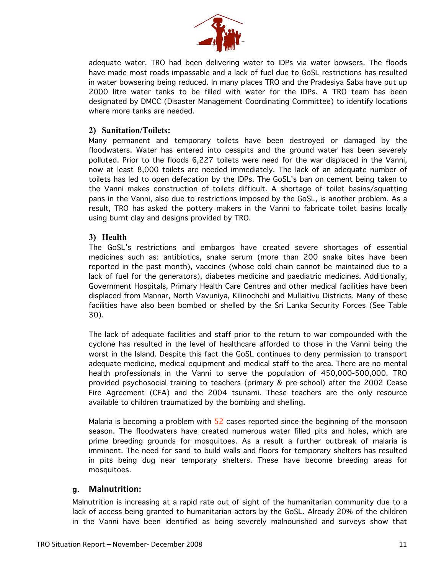

adequate water, TRO had been delivering water to IDPs via water bowsers. The floods have made most roads impassable and a lack of fuel due to GoSL restrictions has resulted in water bowsering being reduced. In many places TRO and the Pradesiya Saba have put up 2000 litre water tanks to be filled with water for the IDPs. A TRO team has been designated by DMCC (Disaster Management Coordinating Committee) to identify locations where more tanks are needed.

#### **2) Sanitation/Toilets:**

Many permanent and temporary toilets have been destroyed or damaged by the floodwaters. Water has entered into cesspits and the ground water has been severely polluted. Prior to the floods 6,227 toilets were need for the war displaced in the Vanni, now at least 8,000 toilets are needed immediately. The lack of an adequate number of toilets has led to open defecation by the IDPs. The GoSL's ban on cement being taken to the Vanni makes construction of toilets difficult. A shortage of toilet basins/squatting pans in the Vanni, also due to restrictions imposed by the GoSL, is another problem. As a result, TRO has asked the pottery makers in the Vanni to fabricate toilet basins locally using burnt clay and designs provided by TRO.

#### **3) Health**

The GoSL's restrictions and embargos have created severe shortages of essential medicines such as: antibiotics, snake serum (more than 200 snake bites have been reported in the past month), vaccines (whose cold chain cannot be maintained due to a lack of fuel for the generators), diabetes medicine and paediatric medicines. Additionally, Government Hospitals, Primary Health Care Centres and other medical facilities have been displaced from Mannar, North Vavuniya, Kilinochchi and Mullaitivu Districts. Many of these facilities have also been bombed or shelled by the Sri Lanka Security Forces (See Table 30).

The lack of adequate facilities and staff prior to the return to war compounded with the cyclone has resulted in the level of healthcare afforded to those in the Vanni being the worst in the Island. Despite this fact the GoSL continues to deny permission to transport adequate medicine, medical equipment and medical staff to the area. There are no mental health professionals in the Vanni to serve the population of 450,000-500,000. TRO provided psychosocial training to teachers (primary & pre-school) after the 2002 Cease Fire Agreement (CFA) and the 2004 tsunami. These teachers are the only resource available to children traumatized by the bombing and shelling.

Malaria is becoming a problem with  $52$  cases reported since the beginning of the monsoon season. The floodwaters have created numerous water filled pits and holes, which are prime breeding grounds for mosquitoes. As a result a further outbreak of malaria is imminent. The need for sand to build walls and floors for temporary shelters has resulted in pits being dug near temporary shelters. These have become breeding areas for mosquitoes.

#### g. **Malnutrition:**

Malnutrition is increasing at a rapid rate out of sight of the humanitarian community due to a lack of access being granted to humanitarian actors by the GoSL. Already 20% of the children in the Vanni have been identified as being severely malnourished and surveys show that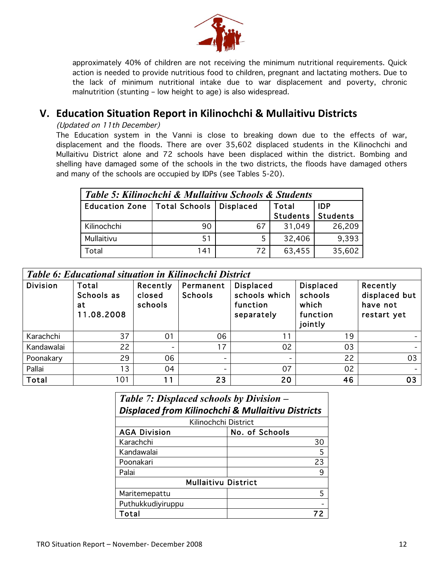

approximately 40% of children are not receiving the minimum nutritional requirements. Quick action is needed to provide nutritious food to children, pregnant and lactating mothers. Due to the lack of minimum nutritional intake due to war displacement and poverty, chronic malnutrition (stunting – low height to age) is also widespread.

## **V. Education Situation Report in Kilinochchi & Mullaitivu Districts**

#### (Updated on 11th December)

The Education system in the Vanni is close to breaking down due to the effects of war, displacement and the floods. There are over 35,602 displaced students in the Kilinochchi and Mullaitivu District alone and 72 schools have been displaced within the district. Bombing and shelling have damaged some of the schools in the two districts, the floods have damaged others and many of the schools are occupied by IDPs (see Tables 5-20).

| Table 5: Kilinochchi & Mullaitivu Schools & Students |            |    |          |          |  |  |  |
|------------------------------------------------------|------------|----|----------|----------|--|--|--|
| Education Zone   Total Schools                       | <b>IDP</b> |    |          |          |  |  |  |
|                                                      |            |    | Students | Students |  |  |  |
| Kilinochchi                                          | 90         | 67 | 31,049   | 26,209   |  |  |  |
| Mullaitivu                                           | 51         | 5  | 32,406   | 9,393    |  |  |  |
| Total                                                | 141        | 72 | 63,455   | 35,602   |  |  |  |

| Table 6: Educational situation in Kilinochchi District |  |  |
|--------------------------------------------------------|--|--|
|                                                        |  |  |

| <b>Division</b> | Total<br>Schools as<br>at<br>11.08.2008 | Recently<br>closed<br>schools | Permanent<br><b>Schools</b> | <b>Displaced</b><br>schools which<br>function<br>separately | <b>Displaced</b><br>schools<br>which<br>function<br>jointly | Recently<br>displaced but<br>have not<br>restart yet |
|-----------------|-----------------------------------------|-------------------------------|-----------------------------|-------------------------------------------------------------|-------------------------------------------------------------|------------------------------------------------------|
| Karachchi       | 37                                      | 01                            | 06                          | 11                                                          | 19                                                          |                                                      |
| Kandawalai      | 22                                      | $\overline{\phantom{0}}$      | 17                          | 02                                                          | 03                                                          |                                                      |
| Poonakary       | 29                                      | 06                            | -                           | -                                                           | 22                                                          | 03                                                   |
| Pallai          | 13                                      | 04                            | -                           | 07                                                          | 02                                                          |                                                      |
| Total           | 101                                     | 11                            | 23                          | 20                                                          | 46                                                          | 03                                                   |

| Table 7: Displaced schools by Division –                     |                            |  |  |  |  |  |  |  |
|--------------------------------------------------------------|----------------------------|--|--|--|--|--|--|--|
| <b>Displaced from Kilinochchi &amp; Mullaitivu Districts</b> |                            |  |  |  |  |  |  |  |
| Kilinochchi District                                         |                            |  |  |  |  |  |  |  |
| <b>AGA Division</b>                                          | No. of Schools             |  |  |  |  |  |  |  |
| Karachchi                                                    | 30                         |  |  |  |  |  |  |  |
| Kandawalai                                                   | 5                          |  |  |  |  |  |  |  |
| Poonakari                                                    | 23                         |  |  |  |  |  |  |  |
| Palai                                                        | 9                          |  |  |  |  |  |  |  |
|                                                              | <b>Mullaitivu District</b> |  |  |  |  |  |  |  |
| Maritemepattu                                                | 5                          |  |  |  |  |  |  |  |
| Puthukkudiyiruppu                                            |                            |  |  |  |  |  |  |  |
| Total                                                        |                            |  |  |  |  |  |  |  |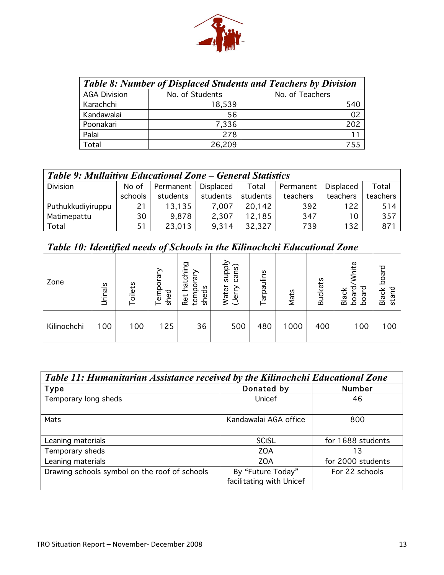

|                     | <b>Table 8: Number of Displaced Students and Teachers by Division</b> |                 |  |  |  |  |  |  |  |
|---------------------|-----------------------------------------------------------------------|-----------------|--|--|--|--|--|--|--|
| <b>AGA Division</b> | No. of Students                                                       | No. of Teachers |  |  |  |  |  |  |  |
| Karachchi           | 18,539                                                                | 540             |  |  |  |  |  |  |  |
| Kandawalai          | 56                                                                    | 02              |  |  |  |  |  |  |  |
| Poonakari           | 7,336                                                                 | 202             |  |  |  |  |  |  |  |
| Palai               | 278                                                                   | 11              |  |  |  |  |  |  |  |
| Total               | 26,209                                                                |                 |  |  |  |  |  |  |  |

| Table 9: Mullaitivu Educational Zone – General Statistics |         |           |           |          |           |           |          |  |  |  |  |
|-----------------------------------------------------------|---------|-----------|-----------|----------|-----------|-----------|----------|--|--|--|--|
| <b>Division</b>                                           | No of   | Permanent | Displaced | Total    | Permanent | Displaced | Total    |  |  |  |  |
|                                                           | schools | students  | students  | students | teachers  | teachers  | teachers |  |  |  |  |
| Puthukkudiyiruppu                                         | 21      | 13,135    | 7,007     | 20,142   | 392       | 122       | 514      |  |  |  |  |
| Matimepattu                                               | 30      | 9,878     | 2,307     | 12,185   | 347       | 10        | 357      |  |  |  |  |
| Total                                                     | 51      | 23,013    | 9,314     | 32,327   | 739       | 132       | 871      |  |  |  |  |

| Table 10: Identified needs of Schools in the Kilinochchi Educational Zone |                |         |                    |                                    |                                    |            |      |                |                                                                     |                            |
|---------------------------------------------------------------------------|----------------|---------|--------------------|------------------------------------|------------------------------------|------------|------|----------------|---------------------------------------------------------------------|----------------------------|
| Zone                                                                      | <b>Urinals</b> | Toilets | Λle<br>emp<br>shed | natching<br>w<br>tem<br>ehe<br>Ret | supply<br>cans)<br>Water<br>(Jerry | Tarpaulins | Mats | <b>Buckets</b> | <b>Mhite</b><br>짇<br><u>lack</u><br>ក្ក<br>g<br>ŏ<br>$\overline{m}$ | board<br>ਹ<br>Blacl<br>sta |
| Kilinochchi                                                               | 100            | 100     | 125                | 36                                 | 500                                | 480        | 1000 | 400            | 100                                                                 | 100                        |

| Table 11: Humanitarian Assistance received by the Kilinochchi Educational Zone |                                               |                   |  |  |  |  |  |  |
|--------------------------------------------------------------------------------|-----------------------------------------------|-------------------|--|--|--|--|--|--|
| <b>Type</b>                                                                    | Donated by                                    | <b>Number</b>     |  |  |  |  |  |  |
| Temporary long sheds                                                           | Unicef                                        | 46                |  |  |  |  |  |  |
| Mats                                                                           | Kandawalai AGA office                         | 800               |  |  |  |  |  |  |
| Leaning materials                                                              | <b>SCiSL</b>                                  | for 1688 students |  |  |  |  |  |  |
| Temporary sheds                                                                | <b>ZOA</b>                                    | 13                |  |  |  |  |  |  |
| Leaning materials                                                              | <b>ZOA</b>                                    | for 2000 students |  |  |  |  |  |  |
| Drawing schools symbol on the roof of schools                                  | By "Future Today"<br>facilitating with Unicef | For 22 schools    |  |  |  |  |  |  |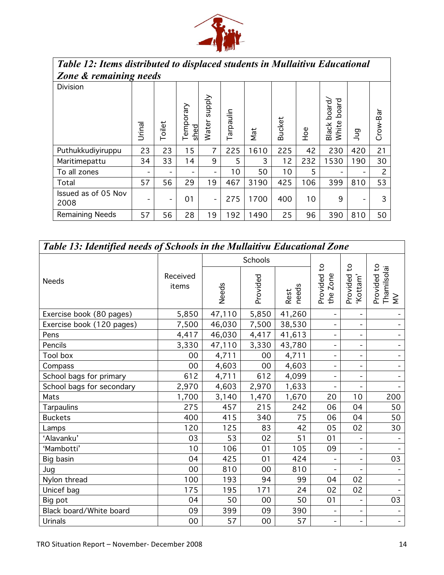

# Table 12: Items distributed to displaced students in Mullaitivu Educational<br>Zone & remaining needs

| <i>Lone &amp; remaining neeas</i> |        |        |                  |                        |          |      |               |            |                                     |     |          |
|-----------------------------------|--------|--------|------------------|------------------------|----------|------|---------------|------------|-------------------------------------|-----|----------|
| <b>Division</b>                   | Urinal | Toilet | emporary<br>shed | <b>Alddns</b><br>Water | arpaulin | Mat  | <b>Bucket</b> | <b>POH</b> | board<br>board,<br>Black l<br>White | gul | Crow-Bar |
| Puthukkudiyiruppu                 | 23     | 23     | 15               | 7                      | 225      | 1610 | 225           | 42         | 230                                 | 420 | 21       |
| Maritimepattu                     | 34     | 33     | 14               | 9                      | 5        | 3    | 12            | 232        | 1530                                | 190 | 30       |
| To all zones                      |        |        |                  |                        | 10       | 50   | 10            | 5          |                                     |     | 2        |
| Total                             | 57     | 56     | 29               | 19                     | 467      | 3190 | 425           | 106        | 399                                 | 810 | 53       |
| Issued as of 05 Nov<br>2008       |        | -      | 01               |                        | 275      | 1700 | 400           | 10         | 9                                   |     | 3        |
| <b>Remaining Needs</b>            | 57     | 56     | 28               | 19                     | 192      | 1490 | 25            | 96         | 390                                 | 810 | 50       |

| <b>Table 13: Identified needs of Schools in the Mullaitivu Educational Zone</b> |                   |                          |         |               |                                      |                                      |                                               |  |  |  |
|---------------------------------------------------------------------------------|-------------------|--------------------------|---------|---------------|--------------------------------------|--------------------------------------|-----------------------------------------------|--|--|--|
|                                                                                 |                   |                          | Schools |               |                                      |                                      |                                               |  |  |  |
| <b>Needs</b>                                                                    | Received<br>items | Provided<br><b>Needs</b> |         | needs<br>Rest | $\mathsf{S}$<br>Provided<br>the Zone | $\mathsf{S}$<br>Provided<br>'Kottam' | $\mathsf{S}$<br>Thamilsolai<br>MV<br>Provided |  |  |  |
| Exercise book (80 pages)                                                        | 5,850             | 47,110                   | 5,850   | 41,260        | $\overline{\phantom{a}}$             |                                      |                                               |  |  |  |
| Exercise book (120 pages)                                                       | 7,500             | 46,030                   | 7,500   | 38,530        | $\overline{\phantom{a}}$             | -                                    |                                               |  |  |  |
| Pens                                                                            | 4,417             | 46,030                   | 4,417   | 41,613        | $\blacksquare$                       | -                                    |                                               |  |  |  |
| Pencils                                                                         | 3,330             | 47,110                   | 3,330   | 43,780        | $\qquad \qquad \blacksquare$         | -                                    |                                               |  |  |  |
| Tool box                                                                        | 00                | 4,711                    | 00      | 4,711         | $\overline{\phantom{a}}$             | -                                    | $\overline{\phantom{0}}$                      |  |  |  |
| Compass                                                                         | 00                | 4,603                    | 00      | 4,603         | $\qquad \qquad \blacksquare$         | -                                    |                                               |  |  |  |
| School bags for primary                                                         | 612               | 4,711                    | 612     | 4,099         | $\qquad \qquad \blacksquare$         | -                                    |                                               |  |  |  |
| School bags for secondary                                                       | 2,970             | 4,603                    | 2,970   | 1,633         | $\overline{\phantom{a}}$             |                                      |                                               |  |  |  |
| Mats                                                                            | 1,700             | 3,140                    | 1,470   | 1,670         | 20                                   | 10                                   | 200                                           |  |  |  |
| <b>Tarpaulins</b>                                                               | 275               | 457                      | 215     | 242           | 06                                   | 04                                   | 50                                            |  |  |  |
| <b>Buckets</b>                                                                  | 400               | 415                      | 340     | 75            | 06                                   | 04                                   | 50                                            |  |  |  |
| Lamps                                                                           | 120               | 125                      | 83      | 42            | 05                                   | 02                                   | 30                                            |  |  |  |
| 'Alavanku'                                                                      | 03                | 53                       | 02      | 51            | 01                                   |                                      |                                               |  |  |  |
| 'Mambotti'                                                                      | 10                | 106                      | 01      | 105           | 09                                   | $\qquad \qquad \blacksquare$         |                                               |  |  |  |
| Big basin                                                                       | 04                | 425                      | 01      | 424           | $\overline{\phantom{a}}$             | -                                    | 03                                            |  |  |  |
| Jug                                                                             | 00                | 810                      | 00      | 810           |                                      |                                      |                                               |  |  |  |
| Nylon thread                                                                    | 100               | 193                      | 94      | 99            | 04                                   | 02                                   |                                               |  |  |  |
| Unicef bag                                                                      | 175               | 195                      | 171     | 24            | 02                                   | 02                                   |                                               |  |  |  |
| Big pot                                                                         | 04                | 50                       | 00      | 50            | 01                                   |                                      | 03                                            |  |  |  |
| Black board/White board                                                         | 09                | 399                      | 09      | 390           | $\overline{\phantom{a}}$             |                                      |                                               |  |  |  |
| Urinals                                                                         | 00                | 57                       | 00      | 57            | $\overline{\phantom{a}}$             | $\overline{\phantom{0}}$             |                                               |  |  |  |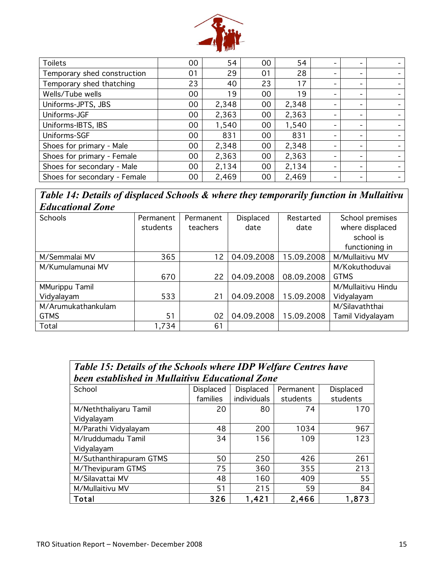

| <b>Toilets</b>               | 00 | 54    | 00 | 54    | $\overline{\phantom{0}}$ | -                        | $\overline{\phantom{0}}$ |
|------------------------------|----|-------|----|-------|--------------------------|--------------------------|--------------------------|
| Temporary shed construction  | 01 | 29    | 01 | 28    | $\overline{\phantom{0}}$ | $\overline{\phantom{0}}$ | $\overline{\phantom{0}}$ |
| Temporary shed thatching     | 23 | 40    | 23 | 17    | $\overline{\phantom{a}}$ | $\overline{\phantom{a}}$ |                          |
| Wells/Tube wells             | 00 | 19    | 00 | 19    | -                        | $\overline{\phantom{0}}$ |                          |
| Uniforms-JPTS, JBS           | 00 | 2,348 | 00 | 2,348 | $\,$                     | $\overline{\phantom{a}}$ |                          |
| Uniforms-JGF                 | 00 | 2,363 | 00 | 2,363 | $\overline{\phantom{0}}$ | $\overline{\phantom{a}}$ | $\overline{\phantom{0}}$ |
| Uniforms-IBTS, IBS           | 00 | 1,540 | 00 | 1,540 | $\overline{\phantom{0}}$ | -                        |                          |
| Uniforms-SGF                 | 00 | 831   | 00 | 831   | $\overline{\phantom{0}}$ |                          |                          |
| Shoes for primary - Male     | 00 | 2,348 | 00 | 2,348 | $\overline{\phantom{0}}$ |                          |                          |
| Shoes for primary - Female   | 00 | 2,363 | 00 | 2,363 | $\overline{\phantom{0}}$ | $\overline{\phantom{a}}$ | $\overline{\phantom{0}}$ |
| Shoes for secondary - Male   | 00 | 2,134 | 00 | 2,134 | $\overline{\phantom{a}}$ | -                        |                          |
| Shoes for secondary - Female | 00 | 2,469 | 00 | 2,469 | -                        |                          |                          |

*Table 14: Details of displaced Schools & where they temporarily function in Mullaitivu Educational Zone*

| Schools               | Permanent | Permanent | Displaced  | Restarted  | School premises    |
|-----------------------|-----------|-----------|------------|------------|--------------------|
|                       | students  | teachers  | date       | date       | where displaced    |
|                       |           |           |            |            | school is          |
|                       |           |           |            |            | functioning in     |
| M/Semmalai MV         | 365       | 12        | 04.09.2008 | 15.09.2008 | M/Mullaitivu MV    |
| M/Kumulamunai MV      |           |           |            |            | M/Kokuthoduvai     |
|                       | 670       | 22        | 04.09.2008 | 08.09.2008 | <b>GTMS</b>        |
| <b>MMurippu Tamil</b> |           |           |            |            | M/Mullaitivu Hindu |
| Vidyalayam            | 533       | 21        | 04.09.2008 | 15.09.2008 | Vidyalayam         |
| M/Arumukathankulam    |           |           |            |            | M/Silavaththai     |
| <b>GTMS</b>           | 51        | 02        | 04.09.2008 | 15.09.2008 | Tamil Vidyalayam   |
| Total                 | 1,734     | 61        |            |            |                    |

| <b>Table 15: Details of the Schools where IDP Welfare Centres have</b> |           |                  |           |           |  |  |  |  |  |
|------------------------------------------------------------------------|-----------|------------------|-----------|-----------|--|--|--|--|--|
| been established in Mullaitivu Educational Zone                        |           |                  |           |           |  |  |  |  |  |
| School                                                                 | Displaced | <b>Displaced</b> | Permanent | Displaced |  |  |  |  |  |
|                                                                        | families  | individuals      | students  | students  |  |  |  |  |  |
| M/Neththaliyaru Tamil                                                  | 20        | 80               | 74        | 170       |  |  |  |  |  |
| Vidyalayam                                                             |           |                  |           |           |  |  |  |  |  |
| M/Parathi Vidyalayam                                                   | 48        | 200              | 1034      | 967       |  |  |  |  |  |
| M/Iruddumadu Tamil                                                     | 34        | 156              | 109       | 123       |  |  |  |  |  |
| Vidyalayam                                                             |           |                  |           |           |  |  |  |  |  |
| M/Suthanthirapuram GTMS                                                | 50        | 250              | 426       | 261       |  |  |  |  |  |
| M/Thevipuram GTMS                                                      | 75        | 360              | 355       | 213       |  |  |  |  |  |
| M/Silavattai MV                                                        | 48        | 160              | 409       | 55        |  |  |  |  |  |
| M/Mullaitivu MV                                                        | 51        | 215              | 59        | 84        |  |  |  |  |  |
| Total                                                                  | 326       | 1,421            | 2,466     | 1,873     |  |  |  |  |  |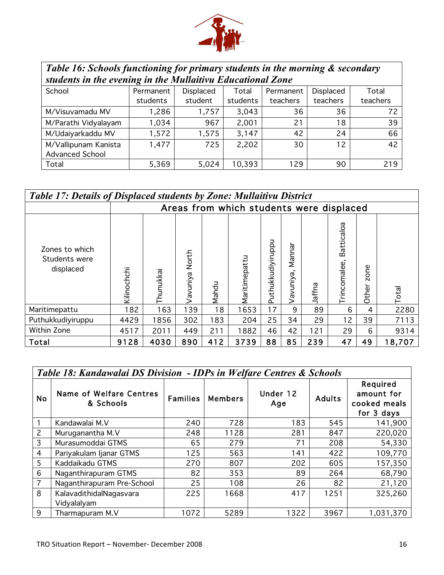

| Table 16: Schools functioning for primary students in the morning & secondary |           |                  |          |           |           |          |  |  |  |  |
|-------------------------------------------------------------------------------|-----------|------------------|----------|-----------|-----------|----------|--|--|--|--|
| students in the evening in the Mullaitivu Educational Zone                    |           |                  |          |           |           |          |  |  |  |  |
| School                                                                        | Permanent | <b>Displaced</b> | Total    | Permanent | Displaced | Total    |  |  |  |  |
|                                                                               | students  | student          | students | teachers  | teachers  | teachers |  |  |  |  |
| M/Visuvamadu MV                                                               | 1,286     | 1,757            | 3,043    | 36        | 36        | 72       |  |  |  |  |
| M/Parathi Vidyalayam                                                          | 1,034     | 967              | 2,001    | 21        | 18        | 39       |  |  |  |  |
| M/Udaiyarkaddu MV                                                             | 1,572     | 1,575            | 3,147    | 42        | 24        | 66       |  |  |  |  |
| M/Vallipunam Kanista                                                          | 1,477     | 725              | 2,202    | 30        | 12        | 42       |  |  |  |  |
| Advanced School                                                               |           |                  |          |           |           |          |  |  |  |  |
| Total                                                                         | 5,369     | 5,024            | 10,393   | 129       | 90        | 219      |  |  |  |  |

| <b>Table 17: Details of Displaced students by Zone: Mullaitivu District</b> |             |           |                  |       |                                          |                   |                  |        |                            |                      |              |
|-----------------------------------------------------------------------------|-------------|-----------|------------------|-------|------------------------------------------|-------------------|------------------|--------|----------------------------|----------------------|--------------|
|                                                                             |             |           |                  |       | Areas from which students were displaced |                   |                  |        |                            |                      |              |
| Zones to which<br>Students were<br>displaced                                | Kilinochchi | Thunukkai | North<br>avuniya | Nahdu | Maritimepattu                            | Puthukkudiyiruppu | Manna<br>avuniya | Jaffna | Batticaloa<br>Trincomalee, | Φ<br>š<br>N<br>Other | <b>Total</b> |
| Maritimepattu                                                               | 182         | 163       | 139              | 18    | 1653                                     | 17                | 9                | 89     | 6                          | 4                    | 2280         |
| Puthukkudiyiruppu                                                           | 4429        | 1856      | 302              | 183   | 204                                      | 25                | 34               | 29     | 12                         | 39                   | 7113         |
| Within Zone                                                                 | 4517        | 2011      | 449              | 211   | 1882                                     | 46                | 42               | 121    | 29                         | 6                    | 9314         |
| Total                                                                       | 9128        | 4030      | 890              | 412   | 3739                                     | 88                | 85               | 239    | 47                         | 49                   | 18,707       |

|                | Table 18: Kandawalai DS Division - IDPs in Welfare Centres & Schools |                 |                |                 |               |                                                      |  |  |
|----------------|----------------------------------------------------------------------|-----------------|----------------|-----------------|---------------|------------------------------------------------------|--|--|
| <b>No</b>      | Name of Welfare Centres<br>& Schools                                 | <b>Families</b> | <b>Members</b> | Under 12<br>Age | <b>Adults</b> | Required<br>amount for<br>cooked meals<br>for 3 days |  |  |
|                | Kandawalai M.V                                                       | 240             | 728            | 183             | 545           | 141,900                                              |  |  |
| $\overline{c}$ | Muruganantha M.V                                                     | 248             | 1128           | 281             | 847           | 220,020                                              |  |  |
| 3              | Murasumoddai GTMS                                                    | 65              | 279            | 71              | 208           | 54,330                                               |  |  |
| 4              | Pariyakulam Ijanar GTMS                                              | 125             | 563            | 141             | 422           | 109,770                                              |  |  |
| 5              | Kaddaikadu GTMS                                                      | 270             | 807            | 202             | 605           | 157,350                                              |  |  |
| 6              | Naganthirapuram GTMS                                                 | 82              | 353            | 89              | 264           | 68,790                                               |  |  |
| 7              | Naganthirapuram Pre-School                                           | 25              | 108            | 26              | 82            | 21,120                                               |  |  |
| 8              | KalavadithidalNagasvara<br>Vidyalalyam                               | 225             | 1668           | 417             | 1251          | 325,260                                              |  |  |
| 9              | Tharmapuram M.V                                                      | 1072            | 5289           | 1322            | 3967          | 1,031,370                                            |  |  |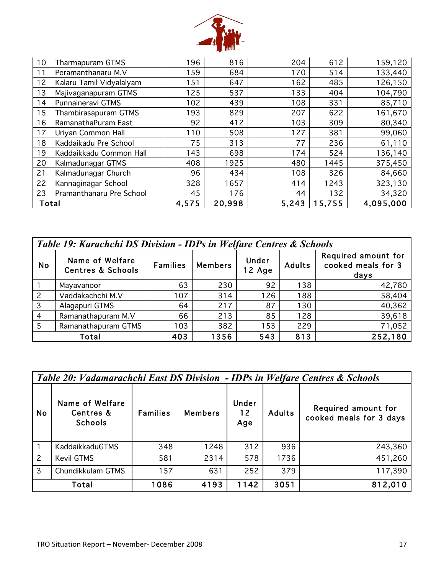

| 10    | Tharmapuram GTMS         | 196   | 816    | 204   | 612    | 159,120   |
|-------|--------------------------|-------|--------|-------|--------|-----------|
| 11    | Peramanthanaru M.V       | 159   | 684    | 170   | 514    | 133,440   |
| 12    | Kalaru Tamil Vidyalalyam | 151   | 647    | 162   | 485    | 126,150   |
| 13    | Majivaganapuram GTMS     | 125   | 537    | 133   | 404    | 104,790   |
| 14    | Punnaineravi GTMS        | 102   | 439    | 108   | 331    | 85,710    |
| 15    | Thambirasapuram GTMS     | 193   | 829    | 207   | 622    | 161,670   |
| 16    | RamanathaPuram East      | 92    | 412    | 103   | 309    | 80,340    |
| 17    | Uriyan Common Hall       | 110   | 508    | 127   | 381    | 99,060    |
| 18    | Kaddaikadu Pre School    | 75    | 313    | 77    | 236    | 61,110    |
| 19    | Kaddaikkadu Common Hall  | 143   | 698    | 174   | 524    | 136,140   |
| 20    | Kalmadunagar GTMS        | 408   | 1925   | 480   | 1445   | 375,450   |
| 21    | Kalmadunagar Church      | 96    | 434    | 108   | 326    | 84,660    |
| 22    | Kannaginagar School      | 328   | 1657   | 414   | 1243   | 323,130   |
| 23    | Pramanthanaru Pre School | 45    | 176    | 44    | 132    | 34,320    |
| Total |                          | 4,575 | 20,998 | 5,243 | 15,755 | 4,095,000 |

| Table 19: Karachchi DS Division - IDPs in Welfare Centres & Schools |                                                 |                 |                |                 |               |                                                   |  |
|---------------------------------------------------------------------|-------------------------------------------------|-----------------|----------------|-----------------|---------------|---------------------------------------------------|--|
| <b>No</b>                                                           | Name of Welfare<br><b>Centres &amp; Schools</b> | <b>Families</b> | <b>Members</b> | Under<br>12 Age | <b>Adults</b> | Required amount for<br>cooked meals for 3<br>days |  |
|                                                                     | Mayavanoor                                      | 63              | 230            | 92              | 138           | 42,780                                            |  |
| $\overline{c}$                                                      | Vaddakachchi M.V                                | 107             | 314            | 126             | 188           | 58,404                                            |  |
| 3                                                                   | Alagapuri GTMS                                  | 64              | 217            | 87              | 130           | 40,362                                            |  |
| $\overline{4}$                                                      | Ramanathapuram M.V                              | 66              | 213            | 85              | 128           | 39,618                                            |  |
| 5                                                                   | Ramanathapuram GTMS                             | 103             | 382            | 153             | 229           | 71,052                                            |  |
|                                                                     | 252,180<br>1356<br>403<br>543<br>813<br>Total   |                 |                |                 |               |                                                   |  |

|                | Table 20: Vadamarachchi East DS Division - IDPs in Welfare Centres & Schools |                 |                |                    |               |                                                |  |
|----------------|------------------------------------------------------------------------------|-----------------|----------------|--------------------|---------------|------------------------------------------------|--|
| No             | Name of Welfare<br>Centres &<br><b>Schools</b>                               | <b>Families</b> | <b>Members</b> | Under<br>12<br>Age | <b>Adults</b> | Required amount for<br>cooked meals for 3 days |  |
|                | <b>KaddaikkaduGTMS</b>                                                       | 348             | 1248           | 312                | 936           | 243,360                                        |  |
| $\overline{2}$ | <b>Kevil GTMS</b>                                                            | 581             | 2314           | 578                | 1736          | 451,260                                        |  |
| $\overline{3}$ | Chundikkulam GTMS                                                            | 157             | 631            | 252                | 379           | 117,390                                        |  |
| Total          |                                                                              | 1086            | 4193           | 1142               | 3051          | 812,010                                        |  |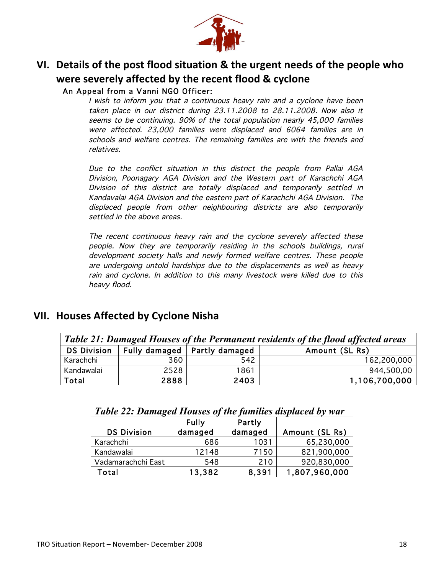

## **VI.** Details of the post flood situation & the urgent needs of the people who **If were severely affected by the recent flood & cyclone** An Appeal from a Vanni NGO Officer:

I wish to inform you that a continuous heavy rain and a cyclone have been taken place in our district during 23.11.2008 to 28.11.2008. Now also it seems to be continuing. 90% of the total population nearly 45,000 families were affected. 23,000 families were displaced and 6064 families are in schools and welfare centres. The remaining families are with the friends and relatives.

Due to the conflict situation in this district the people from Pallai AGA Division, Poonagary AGA Division and the Western part of Karachchi AGA Division of this district are totally displaced and temporarily settled in Kandavalai AGA Division and the eastern part of Karachchi AGA Division. The displaced people from other neighbouring districts are also temporarily settled in the above areas.

The recent continuous heavy rain and the cyclone severely affected these people. Now they are temporarily residing in the schools buildings, rural development society halls and newly formed welfare centres. These people are undergoing untold hardships due to the displacements as well as heavy rain and cyclone. In addition to this many livestock were killed due to this heavy flood.

## **VII. Houses Affected by Cyclone Nisha.**

| Table 21: Damaged Houses of the Permanent residents of the flood affected areas |      |                                |                |  |  |  |
|---------------------------------------------------------------------------------|------|--------------------------------|----------------|--|--|--|
| <b>DS Division</b>                                                              |      | Fully damaged   Partly damaged | Amount (SL Rs) |  |  |  |
| Karachchi                                                                       | 360  | 542                            | 162,200,000    |  |  |  |
| Kandawalai                                                                      | 2528 | 1861                           | 944,500,00     |  |  |  |
| Total                                                                           | 2888 | 2403                           | 1,106,700,000  |  |  |  |

| Table 22: Damaged Houses of the families displaced by war |                         |                   |                |  |  |  |
|-----------------------------------------------------------|-------------------------|-------------------|----------------|--|--|--|
| <b>DS Division</b>                                        | <b>Fully</b><br>damaged | Partly<br>damaged | Amount (SL Rs) |  |  |  |
| Karachchi                                                 | 686                     | 1031              | 65,230,000     |  |  |  |
| Kandawalai                                                | 12148                   | 7150              | 821,900,000    |  |  |  |
| Vadamarachchi East                                        | 548                     | 210               | 920,830,000    |  |  |  |
| Total                                                     | 13,382                  | 8,391             | 1,807,960,000  |  |  |  |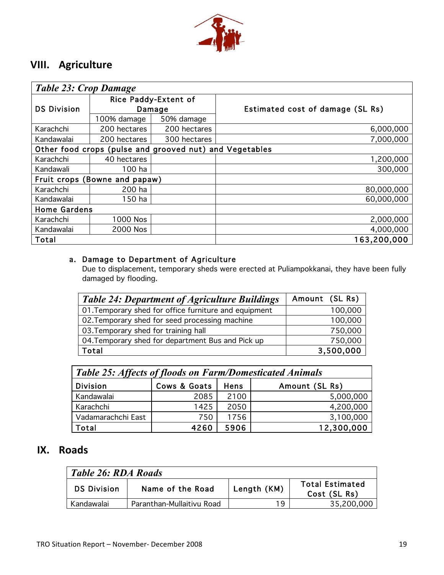

## **VIII.** Agriculture

| <b>Table 23: Crop Damage</b>                            |                               |                                |                                  |  |  |  |
|---------------------------------------------------------|-------------------------------|--------------------------------|----------------------------------|--|--|--|
| <b>DS Division</b>                                      |                               | Rice Paddy-Extent of<br>Damage | Estimated cost of damage (SL Rs) |  |  |  |
|                                                         | 100% damage                   | 50% damage                     |                                  |  |  |  |
| Karachchi                                               | 200 hectares                  | 200 hectares                   | 6,000,000                        |  |  |  |
| Kandawalai                                              | 200 hectares                  | 300 hectares                   | 7,000,000                        |  |  |  |
| Other food crops (pulse and grooved nut) and Vegetables |                               |                                |                                  |  |  |  |
| Karachchi                                               | 40 hectares                   |                                | 1,200,000                        |  |  |  |
| Kandawali                                               | 100 ha                        |                                | 300,000                          |  |  |  |
|                                                         | Fruit crops (Bowne and papaw) |                                |                                  |  |  |  |
| Karachchi                                               | 200 ha                        |                                | 80,000,000                       |  |  |  |
| Kandawalai                                              | $150$ ha                      |                                | 60,000,000                       |  |  |  |
| <b>Home Gardens</b>                                     |                               |                                |                                  |  |  |  |
| Karachchi                                               | 1000 Nos                      |                                | 2,000,000                        |  |  |  |
| Kandawalai                                              | 2000 Nos                      |                                | 4,000,000                        |  |  |  |
| Total                                                   |                               |                                | 163,200,000                      |  |  |  |

#### a. Damage to Department of Agriculture

Due to displacement, temporary sheds were erected at Puliampokkanai, they have been fully damaged by flooding.

| <b>Table 24: Department of Agriculture Buildings</b>  | Amount (SL Rs) |
|-------------------------------------------------------|----------------|
| 01. Temporary shed for office furniture and equipment | 100,000        |
| 02. Temporary shed for seed processing machine        | 100,000        |
| 03. Temporary shed for training hall                  | 750,000        |
| 04. Temporary shed for department Bus and Pick up     | 750,000        |
| Total                                                 | 3,500,000      |

| <b>Table 25: Affects of floods on Farm/Domesticated Animals</b> |              |             |                |  |  |
|-----------------------------------------------------------------|--------------|-------------|----------------|--|--|
| <b>Division</b>                                                 | Cows & Goats | <b>Hens</b> | Amount (SL Rs) |  |  |
| Kandawalai                                                      | 2085         | 2100        | 5,000,000      |  |  |
| Karachchi                                                       | 1425         | 2050        | 4,200,000      |  |  |
| Vadamarachchi East                                              | 750          | 1756        | 3,100,000      |  |  |
| Total                                                           | 4260         | 5906        | 12,300,000     |  |  |

## **IX.** Roads

| Table 26: RDA Roads                                                                             |                           |    |            |  |  |
|-------------------------------------------------------------------------------------------------|---------------------------|----|------------|--|--|
| <b>Total Estimated</b><br>Length (KM)<br>Name of the Road<br><b>DS Division</b><br>Cost (SL Rs) |                           |    |            |  |  |
| Kandawalai                                                                                      | Paranthan-Mullaitivu Road | 19 | 35,200,000 |  |  |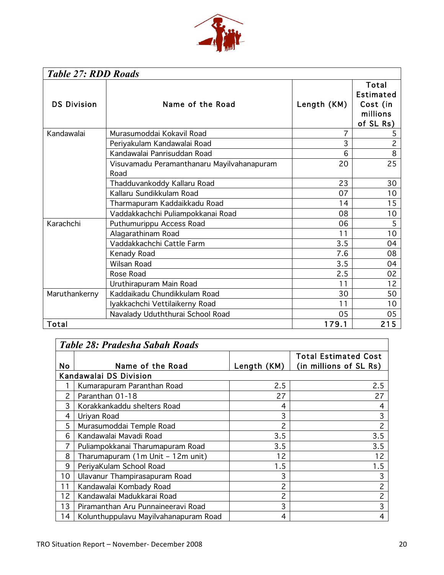

| <b>Table 27: RDD Roads</b> |                                                    |             |                                                                |  |  |  |
|----------------------------|----------------------------------------------------|-------------|----------------------------------------------------------------|--|--|--|
| <b>DS Division</b>         | Name of the Road                                   | Length (KM) | Total<br><b>Estimated</b><br>Cost (in<br>millions<br>of SL Rs) |  |  |  |
| Kandawalai                 | Murasumoddai Kokavil Road                          | 7           | 5                                                              |  |  |  |
|                            | Periyakulam Kandawalai Road                        | 3           | $\overline{2}$                                                 |  |  |  |
|                            | Kandawalai Panrisuddan Road                        | 6           | 8                                                              |  |  |  |
|                            | Visuvamadu Peramanthanaru Mayilvahanapuram<br>Road | 20          | 25                                                             |  |  |  |
|                            | Thadduvankoddy Kallaru Road                        | 23          | 30                                                             |  |  |  |
|                            | Kallaru Sundikkulam Road                           | 07          | 10                                                             |  |  |  |
|                            | Tharmapuram Kaddaikkadu Road                       | 14          | 15                                                             |  |  |  |
|                            | Vaddakkachchi Puliampokkanai Road                  | 08          | 10 <sub>o</sub>                                                |  |  |  |
| Karachchi                  | Puthumurippu Access Road                           | 06          | 5                                                              |  |  |  |
|                            | Alagarathinam Road                                 | 11          | 10                                                             |  |  |  |
|                            | Vaddakkachchi Cattle Farm                          | 3.5         | 04                                                             |  |  |  |
|                            | Kenady Road                                        | 7.6         | 08                                                             |  |  |  |
|                            | <b>Wilsan Road</b>                                 | 3.5         | 04                                                             |  |  |  |
|                            | Rose Road                                          | 2.5         | 02                                                             |  |  |  |
|                            | Uruthirapuram Main Road                            | 11          | 12                                                             |  |  |  |
| Maruthankerny              | Kaddaikadu Chundikkulam Road                       | 30          | 50                                                             |  |  |  |
|                            | Iyakkachchi Vettilaikerny Road                     | 11          | 10                                                             |  |  |  |
|                            | Navalady Uduththurai School Road                   | 05          | 05                                                             |  |  |  |
| Total                      |                                                    | 179.1       | 215                                                            |  |  |  |

|               | <b>Table 28: Pradesha Sabah Roads</b> |               |                                                       |  |  |  |  |
|---------------|---------------------------------------|---------------|-------------------------------------------------------|--|--|--|--|
| <b>No</b>     | Name of the Road                      | Length $(KM)$ | <b>Total Estimated Cost</b><br>(in millions of SL Rs) |  |  |  |  |
|               | Kandawalai DS Division                |               |                                                       |  |  |  |  |
|               | Kumarapuram Paranthan Road            | 2.5           | 2.5                                                   |  |  |  |  |
| $\mathcal{P}$ | Paranthan 01-18                       | 27            | 27                                                    |  |  |  |  |
| 3             | Korakkankaddu shelters Road           | 4             | 4                                                     |  |  |  |  |
| 4             | Uriyan Road                           | 3             | 3                                                     |  |  |  |  |
| 5             | Murasumoddai Temple Road              | 2             | $\overline{c}$                                        |  |  |  |  |
| 6             | Kandawalai Mavadi Road                | 3.5           | 3.5                                                   |  |  |  |  |
| 7             | Puliampokkanai Tharumapuram Road      | 3.5           | 3.5                                                   |  |  |  |  |
| 8             | Tharumapuram (1m Unit - 12m unit)     | 12            | 12                                                    |  |  |  |  |
| 9             | PeriyaKulam School Road               | 1.5           | 1.5                                                   |  |  |  |  |
| 10            | Ulavanur Thampirasapuram Road         | 3             | 3                                                     |  |  |  |  |
| 11            | Kandawalai Kombady Road               | 2             | $\overline{c}$                                        |  |  |  |  |
| 12            | Kandawalai Madukkarai Road            | 2             | $\overline{c}$                                        |  |  |  |  |
| 13            | Piramanthan Aru Punnaineeravi Road    | 3             | 3                                                     |  |  |  |  |
| 14            | Kolunthuppulavu Mayilvahanapuram Road | 4             | 4                                                     |  |  |  |  |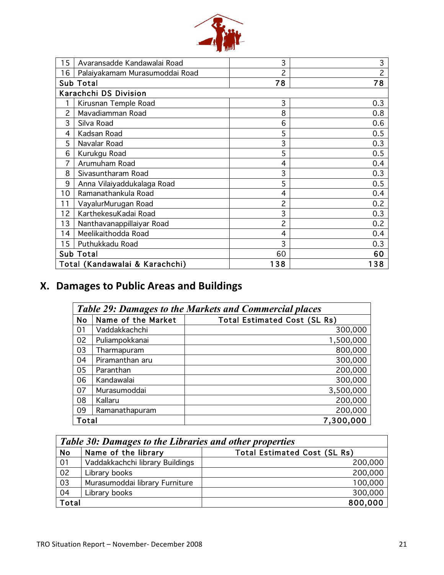

| 15 | Avaransadde Kandawalai Road    | 3   | 3              |
|----|--------------------------------|-----|----------------|
| 16 | Palaiyakamam Murasumoddai Road | 2   | $\overline{c}$ |
|    | <b>Sub Total</b>               | 78  | 78             |
|    | Karachchi DS Division          |     |                |
| 1  | Kirusnan Temple Road           | 3   | 0.3            |
| 2  | Mavadiamman Road               | 8   | 0.8            |
| 3  | Silva Road                     | 6   | 0.6            |
| 4  | Kadsan Road                    | 5   | 0.5            |
| 5  | Navalar Road                   | 3   | 0.3            |
| 6  | Kurukgu Road                   | 5   | 0.5            |
| 7  | Arumuham Road                  | 4   | 0.4            |
| 8  | Sivasuntharam Road             | 3   | 0.3            |
| 9  | Anna Vilaiyaddukalaga Road     | 5   | 0.5            |
| 10 | Ramanathankula Road            | 4   | 0.4            |
| 11 | VayalurMurugan Road            | 2   | 0.2            |
| 12 | KarthekesuKadai Road           | 3   | 0.3            |
| 13 | Nanthavanappillaiyar Road      | 2   | 0.2            |
| 14 | Meelikaithodda Road            | 4   | 0.4            |
| 15 | Puthukkadu Road                | 3   | 0.3            |
|    | Sub Total                      | 60  | 60             |
|    | Total (Kandawalai & Karachchi) | 138 | 138            |

# **X. Damages to Public Areas and Buildings**

|           | <b>Table 29: Damages to the Markets and Commercial places</b> |                                     |  |  |
|-----------|---------------------------------------------------------------|-------------------------------------|--|--|
| <b>No</b> | Name of the Market                                            | <b>Total Estimated Cost (SL Rs)</b> |  |  |
| 01        | Vaddakkachchi                                                 | 300,000                             |  |  |
| 02        | Puliampokkanai                                                | 1,500,000                           |  |  |
| 03        | Tharmapuram                                                   | 800,000                             |  |  |
| 04        | Piramanthan aru                                               | 300,000                             |  |  |
| 05        | Paranthan                                                     | 200,000                             |  |  |
| 06        | Kandawalai                                                    | 300,000                             |  |  |
| 07        | Murasumoddai                                                  | 3,500,000                           |  |  |
| 08        | Kallaru                                                       | 200,000                             |  |  |
| 09        | Ramanathapuram                                                | 200,000                             |  |  |
| Total     |                                                               | 7,300,000                           |  |  |

|           | <b>Table 30: Damages to the Libraries and other properties</b> |                                     |  |  |
|-----------|----------------------------------------------------------------|-------------------------------------|--|--|
| <b>No</b> | Name of the library                                            | <b>Total Estimated Cost (SL Rs)</b> |  |  |
| 01        | Vaddakkachchi library Buildings                                | 200,000                             |  |  |
| 02        | Library books                                                  | 200,000                             |  |  |
| 03        | Murasumoddai library Furniture                                 | 100,000                             |  |  |
| 04        | Library books                                                  | 300,000                             |  |  |
| Total     |                                                                | 800,000                             |  |  |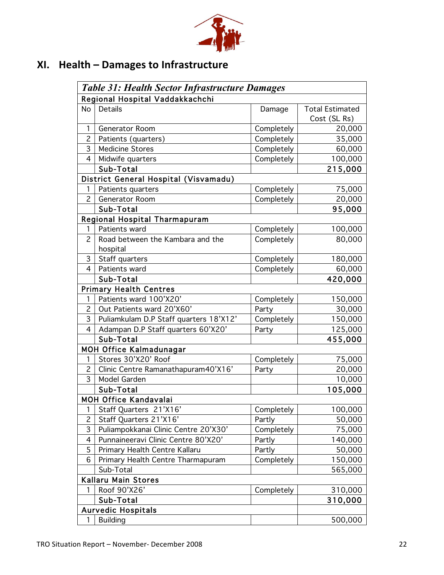

# XI. Health - Damages to Infrastructure

|                | <b>Table 31: Health Sector Infrastructure Damages</b> |            |                        |  |  |  |
|----------------|-------------------------------------------------------|------------|------------------------|--|--|--|
|                | Regional Hospital Vaddakkachchi                       |            |                        |  |  |  |
| <b>No</b>      | Details                                               | Damage     | <b>Total Estimated</b> |  |  |  |
|                |                                                       |            | Cost (SL Rs)           |  |  |  |
| 1              | Generator Room                                        | Completely | 20,000                 |  |  |  |
| $\overline{c}$ | Patients (quarters)                                   | Completely | 35,000                 |  |  |  |
| 3              | <b>Medicine Stores</b>                                | Completely | 60,000                 |  |  |  |
| $\overline{4}$ | Midwife quarters                                      | Completely | 100,000                |  |  |  |
|                | Sub-Total                                             |            | 215,000                |  |  |  |
|                | District General Hospital (Visvamadu)                 |            |                        |  |  |  |
| 1              | Patients quarters                                     | Completely | 75,000                 |  |  |  |
| $\overline{2}$ | Generator Room                                        | Completely | 20,000                 |  |  |  |
|                | Sub-Total                                             |            | 95,000                 |  |  |  |
|                | Regional Hospital Tharmapuram                         |            |                        |  |  |  |
| 1              | Patients ward                                         | Completely | 100,000                |  |  |  |
| $\overline{c}$ | Road between the Kambara and the                      | Completely | 80,000                 |  |  |  |
|                | hospital                                              |            |                        |  |  |  |
| 3              | Staff quarters                                        | Completely | 180,000                |  |  |  |
| $\overline{4}$ | Patients ward                                         | Completely | 60,000                 |  |  |  |
|                | Sub-Total                                             |            | 420,000                |  |  |  |
|                | <b>Primary Health Centres</b>                         |            |                        |  |  |  |
| 1              | Patients ward 100'X20'                                | Completely | 150,000                |  |  |  |
| $\overline{c}$ | Out Patients ward 20'X60'                             | Party      | 30,000                 |  |  |  |
| 3              | Puliamkulam D.P Staff quarters 18'X12'                | Completely | 150,000                |  |  |  |
| 4              | Adampan D.P Staff quarters 60'X20'                    | Party      | 125,000                |  |  |  |
|                | Sub-Total                                             |            | 455,000                |  |  |  |
|                | <b>MOH Office Kalmadunagar</b>                        |            |                        |  |  |  |
| 1              | Stores 30'X20' Roof                                   | Completely | 75,000                 |  |  |  |
| $\overline{c}$ | Clinic Centre Ramanathapuram40'X16'                   | Party      | 20,000                 |  |  |  |
| 3              | Model Garden                                          |            | 10,000                 |  |  |  |
|                | Sub-Total                                             |            | 105,000                |  |  |  |
|                | <b>MOH Office Kandavalai</b>                          |            |                        |  |  |  |
| 1              | Staff Quarters 21'X16'                                | Completely | 100,000                |  |  |  |
| $\overline{c}$ | Staff Quarters 21'X16'                                | Partly     | 50,000                 |  |  |  |
| 3              | Puliampokkanai Clinic Centre 20'X30'                  | Completely | 75,000                 |  |  |  |
| 4              | Punnaineeravi Clinic Centre 80'X20'                   | Partly     | 140,000                |  |  |  |
| 5              | Primary Health Centre Kallaru                         | Partly     | 50,000                 |  |  |  |
| 6              | Primary Health Centre Tharmapuram                     | Completely | 150,000                |  |  |  |
|                | Sub-Total                                             |            | 565,000                |  |  |  |
|                | Kallaru Main Stores                                   |            |                        |  |  |  |
| 1              | Roof 90'X26'                                          | Completely | 310,000                |  |  |  |
|                | Sub-Total                                             |            | 310,000                |  |  |  |
|                | <b>Aurvedic Hospitals</b>                             |            |                        |  |  |  |
| 1              | <b>Building</b>                                       |            | 500,000                |  |  |  |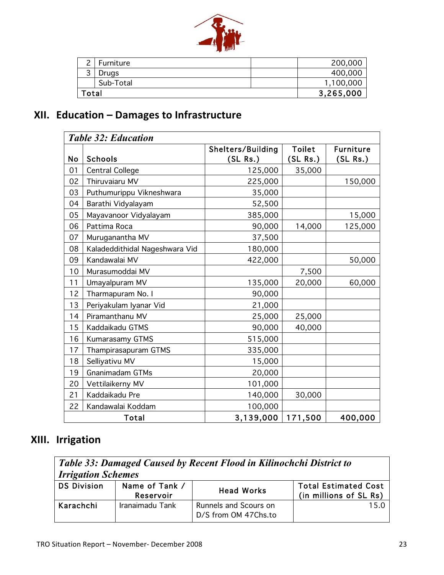

| ົ     | Furniture |           | 200,000   |
|-------|-----------|-----------|-----------|
| 3     | Drugs     |           | 400,000   |
|       | Sub-Total |           | 1,100,000 |
| `otal |           | 3,265,000 |           |

# XII. Education - Damages to Infrastructure

|    | <b>Table 32: Education</b>     |                               |                           |                                |  |  |
|----|--------------------------------|-------------------------------|---------------------------|--------------------------------|--|--|
| No | Schools                        | Shelters/Building<br>(SL Rs.) | <b>Toilet</b><br>(SL Rs.) | <b>Furniture</b><br>$(SL$ Rs.) |  |  |
| 01 | <b>Central College</b>         | 125,000                       | 35,000                    |                                |  |  |
| 02 | Thiruvaiaru MV                 | 225,000                       |                           | 150,000                        |  |  |
| 03 | Puthumurippu Vikneshwara       | 35,000                        |                           |                                |  |  |
| 04 | Barathi Vidyalayam             | 52,500                        |                           |                                |  |  |
| 05 | Mayavanoor Vidyalayam          | 385,000                       |                           | 15,000                         |  |  |
| 06 | Pattima Roca                   | 90,000                        | 14,000                    | 125,000                        |  |  |
| 07 | Muruganantha MV                | 37,500                        |                           |                                |  |  |
| 08 | Kaladeddithidal Nageshwara Vid | 180,000                       |                           |                                |  |  |
| 09 | Kandawalai MV                  | 422,000                       |                           | 50,000                         |  |  |
| 10 | Murasumoddai MV                |                               | 7,500                     |                                |  |  |
| 11 | Umayalpuram MV                 | 135,000                       | 20,000                    | 60,000                         |  |  |
| 12 | Tharmapuram No. I              | 90,000                        |                           |                                |  |  |
| 13 | Periyakulam Iyanar Vid         | 21,000                        |                           |                                |  |  |
| 14 | Piramanthanu MV                | 25,000                        | 25,000                    |                                |  |  |
| 15 | Kaddaikadu GTMS                | 90,000                        | 40,000                    |                                |  |  |
| 16 | Kumarasamy GTMS                | 515,000                       |                           |                                |  |  |
| 17 | Thampirasapuram GTMS           | 335,000                       |                           |                                |  |  |
| 18 | Selliyativu MV                 | 15,000                        |                           |                                |  |  |
| 19 | <b>Gnanimadam GTMs</b>         | 20,000                        |                           |                                |  |  |
| 20 | Vettilaikerny MV               | 101,000                       |                           |                                |  |  |
| 21 | Kaddaikadu Pre                 | 140,000                       | 30,000                    |                                |  |  |
| 22 | Kandawalai Koddam              | 100,000                       |                           |                                |  |  |
|    | Total                          | 3,139,000                     | 171,500                   | 400,000                        |  |  |

# XIII. Irrigation

| Table 33: Damaged Caused by Recent Flood in Kilinochchi District to<br><b>Irrigation Schemes</b> |                             |                                               |                                                       |  |  |  |
|--------------------------------------------------------------------------------------------------|-----------------------------|-----------------------------------------------|-------------------------------------------------------|--|--|--|
| <b>DS Division</b>                                                                               | Name of Tank /<br>Reservoir | <b>Head Works</b>                             | <b>Total Estimated Cost</b><br>(in millions of SL Rs) |  |  |  |
| Karachchi                                                                                        | Iranaimadu Tank             | Runnels and Scours on<br>D/S from OM 47Chs.to | 1.5.O                                                 |  |  |  |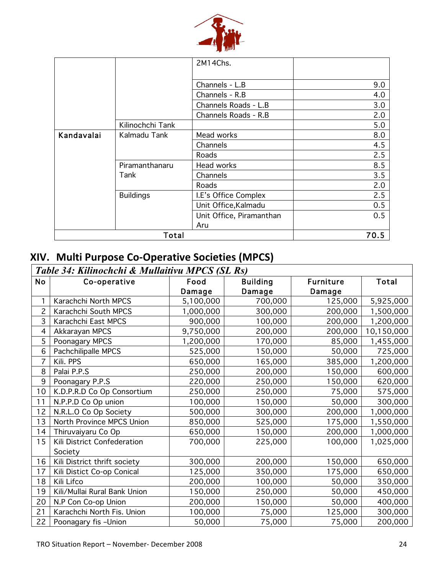

|            |                  | 2M14Chs.                 |     |  |
|------------|------------------|--------------------------|-----|--|
|            |                  |                          |     |  |
|            |                  | Channels - L.B           | 9.0 |  |
|            |                  | Channels - R.B           | 4.0 |  |
|            |                  | Channels Roads - L.B     | 3.0 |  |
|            |                  | Channels Roads - R.B     | 2.0 |  |
|            | Kilinochchi Tank |                          | 5.0 |  |
| Kandavalai | Kalmadu Tank     | Mead works               | 8.0 |  |
|            |                  | Channels                 | 4.5 |  |
|            |                  | Roads                    | 2.5 |  |
|            | Piramanthanaru   | Head works               | 8.5 |  |
|            | Tank             | Channels                 | 3.5 |  |
|            |                  | Roads                    | 2.0 |  |
|            | <b>Buildings</b> | I.E's Office Complex     | 2.5 |  |
|            |                  | Unit Office, Kalmadu     | 0.5 |  |
|            |                  | Unit Office, Piramanthan | 0.5 |  |
|            |                  | Aru                      |     |  |
| Total      |                  |                          |     |  |

## XIV. Multi Purpose Co-Operative Societies (MPCS)

|                | Table 34: Kilinochchi & Mullaitivu MPCS (SL Rs) |           |                 |                  |            |  |
|----------------|-------------------------------------------------|-----------|-----------------|------------------|------------|--|
| <b>No</b>      | Co-operative                                    | Food      | <b>Building</b> | <b>Furniture</b> | Total      |  |
|                |                                                 | Damage    | Damage          | Damage           |            |  |
| 1              | Karachchi North MPCS                            | 5,100,000 | 700,000         | 125,000          | 5,925,000  |  |
| $\overline{c}$ | Karachchi South MPCS                            | 1,000,000 | 300,000         | 200,000          | 1,500,000  |  |
| 3              | Karachchi East MPCS                             | 900,000   | 100,000         | 200,000          | 1,200,000  |  |
| 4              | Akkarayan MPCS                                  | 9,750,000 | 200,000         | 200,000          | 10,150,000 |  |
| 5              | Poonagary MPCS                                  | 1,200,000 | 170,000         | 85,000           | 1,455,000  |  |
| 6              | Pachchilipalle MPCS                             | 525,000   | 150,000         | 50,000           | 725,000    |  |
| 7              | Kili. PPS                                       | 650,000   | 165,000         | 385,000          | 1,200,000  |  |
| 8              | Palai P.P.S                                     | 250,000   | 200,000         | 150,000          | 600,000    |  |
| 9              | Poonagary P.P.S                                 | 220,000   | 250,000         | 150,000          | 620,000    |  |
| 10             | K.D.P.R.D Co Op Consortium                      | 250,000   | 250,000         | 75,000           | 575,000    |  |
| 11             | N.P.P.D Co Op union                             | 100,000   | 150,000         | 50,000           | 300,000    |  |
| 12             | N.R.L.O Co Op Society                           | 500,000   | 300,000         | 200,000          | 1,000,000  |  |
| 13             | North Province MPCS Union                       | 850,000   | 525,000         | 175,000          | 1,550,000  |  |
| 14             | Thiruvaiyaru Co Op                              | 650,000   | 150,000         | 200,000          | 1,000,000  |  |
| 15             | Kili District Confederation                     | 700,000   | 225,000         | 100,000          | 1,025,000  |  |
|                | Society                                         |           |                 |                  |            |  |
| 16             | Kili District thrift society                    | 300,000   | 200,000         | 150,000          | 650,000    |  |
| 17             | Kili Distict Co-op Conical                      | 125,000   | 350,000         | 175,000          | 650,000    |  |
| 18             | Kili Lifco                                      | 200,000   | 100,000         | 50,000           | 350,000    |  |
| 19             | Kili/Mullai Rural Bank Union                    | 150,000   | 250,000         | 50,000           | 450,000    |  |
| 20             | N.P Con Co-op Union                             | 200,000   | 150,000         | 50,000           | 400,000    |  |
| 21             | Karachchi North Fis. Union                      | 100,000   | 75,000          | 125,000          | 300,000    |  |
| 22             | Poonagary fis -Union                            | 50,000    | 75,000          | 75,000           | 200,000    |  |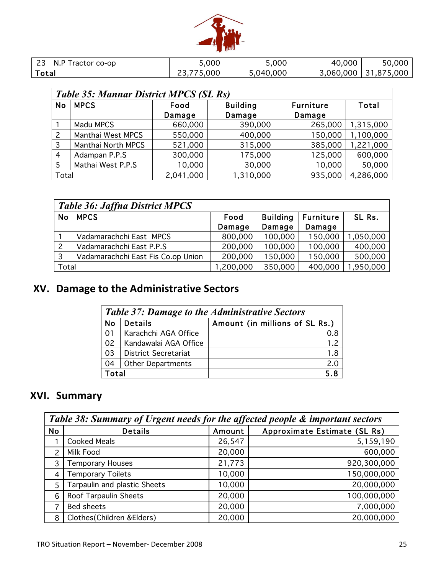

| $\sim$<br>N.<br>ractor co-op | 5,000                           | 5,000     | 40,000    | 50.000                 |
|------------------------------|---------------------------------|-----------|-----------|------------------------|
| $\tau$ otal                  | 5,000<br>$\sim$<br>$- - -$<br>ີ | 5,040,000 | 3,060,000 | .000<br>ີ<br>$\cdot$ . |

|                | <b>Table 35: Mannar District MPCS (SL Rs)</b> |           |                 |                  |           |  |  |  |
|----------------|-----------------------------------------------|-----------|-----------------|------------------|-----------|--|--|--|
| No             | <b>MPCS</b>                                   | Food      | <b>Building</b> | <b>Furniture</b> | Total     |  |  |  |
|                |                                               | Damage    | Damage          | Damage           |           |  |  |  |
|                | Madu MPCS                                     | 660,000   | 390,000         | 265,000          | 1,315,000 |  |  |  |
| 2              | Manthai West MPCS                             | 550,000   | 400,000         | 150,000          | 1,100,000 |  |  |  |
| 3              | Manthai North MPCS                            | 521,000   | 315,000         | 385,000          | 1,221,000 |  |  |  |
| $\overline{4}$ | Adampan P.P.S                                 | 300,000   | 175,000         | 125,000          | 600,000   |  |  |  |
| 5              | Mathai West P.P.S                             | 10,000    | 30,000          | 10,000           | 50,000    |  |  |  |
| Total          |                                               | 2,041,000 | 1,310,000       | 935,000          | 4,286,000 |  |  |  |

| <b>Table 36: Jaffna District MPCS</b> |                                    |           |                 |                  |           |
|---------------------------------------|------------------------------------|-----------|-----------------|------------------|-----------|
| <b>No</b>                             | <b>MPCS</b>                        | Food      | <b>Building</b> | <b>Furniture</b> | SL Rs.    |
|                                       |                                    | Damage    | Damage          | Damage           |           |
|                                       | Vadamarachchi East MPCS            | 800,000   | 100,000         | 150,000          | 1,050,000 |
| $\overline{2}$                        | Vadamarachchi East P.P.S           | 200,000   | 100,000         | 100,000          | 400,000   |
| 3                                     | Vadamarachchi East Fis Co.op Union | 200,000   | 150,000         | 150,000          | 500,000   |
| Total                                 |                                    | 1,200,000 | 350,000         | 400,000          | 1,950,000 |

## XV. Damage to the Administrative Sectors

| <b>Table 37: Damage to the Administrative Sectors</b> |                             |                                |  |  |  |
|-------------------------------------------------------|-----------------------------|--------------------------------|--|--|--|
| <b>No</b>                                             | <b>Details</b>              | Amount (in millions of SL Rs.) |  |  |  |
| 01                                                    | Karachchi AGA Office        | 0.8                            |  |  |  |
| 02                                                    | Kandawalai AGA Office       | 1.2                            |  |  |  |
| 03                                                    | <b>District Secretariat</b> | 1.8                            |  |  |  |
| 04                                                    | <b>Other Departments</b>    | 2.0                            |  |  |  |
| Total                                                 |                             | 5.8                            |  |  |  |

## XVI. Summary

| Table 38: Summary of Urgent needs for the affected people & important sectors |                              |        |                              |  |  |
|-------------------------------------------------------------------------------|------------------------------|--------|------------------------------|--|--|
| <b>No</b>                                                                     | <b>Details</b>               | Amount | Approximate Estimate (SL Rs) |  |  |
|                                                                               | <b>Cooked Meals</b>          | 26,547 | 5,159,190                    |  |  |
| っ                                                                             | Milk Food                    | 20,000 | 600,000                      |  |  |
| 3                                                                             | <b>Temporary Houses</b>      | 21,773 | 920,300,000                  |  |  |
| 4                                                                             | <b>Temporary Toilets</b>     | 10,000 | 150,000,000                  |  |  |
| 5                                                                             | Tarpaulin and plastic Sheets | 10,000 | 20,000,000                   |  |  |
| 6                                                                             | Roof Tarpaulin Sheets        | 20,000 | 100,000,000                  |  |  |
|                                                                               | <b>Bed sheets</b>            | 20,000 | 7,000,000                    |  |  |
| 8                                                                             | Clothes (Children & Elders)  | 20,000 | 20,000,000                   |  |  |